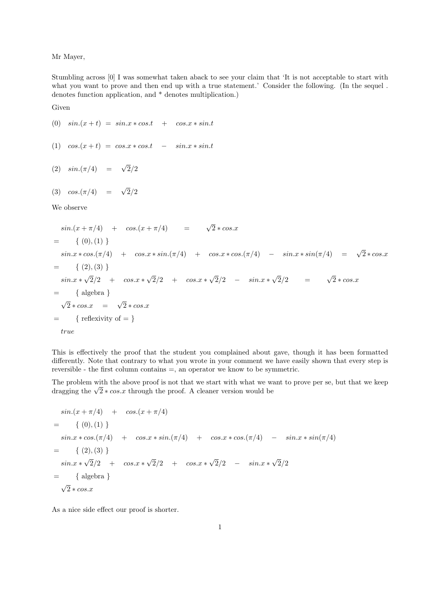Mr Mayer,

Stumbling across [0] I was somewhat taken aback to see your claim that 'It is not acceptable to start with what you want to prove and then end up with a true statement.' Consider the following. (In the sequel. denotes function application, and \* denotes multiplication.)

Given

(0)  $sin.(x + t) = sin.x * cos.t + cos.x * sin.t$ 

$$
(1) \quad \cos(x+t) = \cos x * \cos t \quad - \quad \sin x * \sin t
$$

$$
(2) \quad \sin(\pi/4) = \sqrt{2}/2
$$

$$
(3) \quad \cos\left(\frac{\pi}{4}\right) = \sqrt{2}/2
$$

We observe

$$
sin.(x + \pi/4) + cos.(x + \pi/4) = \sqrt{2} * cos.x
$$
  
= { (0), (1) }  

$$
sin.x * cos.(\pi/4) + cos.x * sin.(\pi/4) + cos.x * cos.(\pi/4) - sin.x * sin(\pi/4) = \sqrt{2} * cos.x
$$
  
= { (2), (3) }  

$$
sin.x * \sqrt{2}/2 + cos.x * \sqrt{2}/2 + cos.x * \sqrt{2}/2 - sin.x * \sqrt{2}/2 = \sqrt{2} * cos.x
$$
  
= { algebra }  

$$
\sqrt{2} * cos.x = \sqrt{2} * cos.x
$$
  
= { reflexivity of = }  

$$
true
$$

This is effectively the proof that the student you complained about gave, though it has been formatted differently. Note that contrary to what you wrote in your comment we have easily shown that every step is reversible - the first column contains =, an operator we know to be symmetric.

The problem with the above proof is not that we start with what we want to prove per se, but that we keep The problem with the above proof is not that we start with what we we dragging the  $\sqrt{2} * cos.x$  through the proof. A cleaner version would be

$$
sin.(x + \pi/4) + cos.(x + \pi/4)
$$
  
= { (0), (1) }  

$$
sin.x * cos.(\pi/4) + cos.x * sin.(\pi/4) + cos.x * cos.(\pi/4) - sin.x * sin(\pi/4)
$$
  
= { (2), (3) }  

$$
sin.x * \sqrt{2}/2 + cos.x * \sqrt{2}/2 + cos.x * \sqrt{2}/2 - sin.x * \sqrt{2}/2
$$
  
= { algebra }  

$$
\sqrt{2} * cos.x
$$

As a nice side effect our proof is shorter.